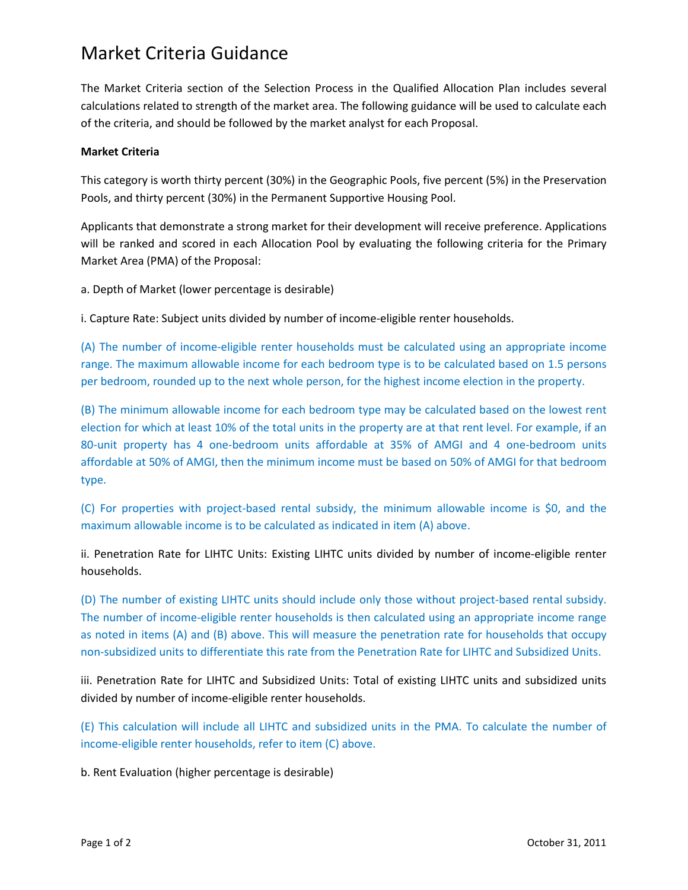## Market Criteria Guidance

The Market Criteria section of the Selection Process in the Qualified Allocation Plan includes several calculations related to strength of the market area. The following guidance will be used to calculate each of the criteria, and should be followed by the market analyst for each Proposal.

## **Market Criteria**

This category is worth thirty percent (30%) in the Geographic Pools, five percent (5%) in the Preservation Pools, and thirty percent (30%) in the Permanent Supportive Housing Pool.

Applicants that demonstrate a strong market for their development will receive preference. Applications will be ranked and scored in each Allocation Pool by evaluating the following criteria for the Primary Market Area (PMA) of the Proposal:

a. Depth of Market (lower percentage is desirable)

i. Capture Rate: Subject units divided by number of income-eligible renter households.

(A) The number of income-eligible renter households must be calculated using an appropriate income range. The maximum allowable income for each bedroom type is to be calculated based on 1.5 persons per bedroom, rounded up to the next whole person, for the highest income election in the property.

(B) The minimum allowable income for each bedroom type may be calculated based on the lowest rent election for which at least 10% of the total units in the property are at that rent level. For example, if an 80-unit property has 4 one-bedroom units affordable at 35% of AMGI and 4 one-bedroom units affordable at 50% of AMGI, then the minimum income must be based on 50% of AMGI for that bedroom type.

(C) For properties with project-based rental subsidy, the minimum allowable income is \$0, and the maximum allowable income is to be calculated as indicated in item (A) above.

ii. Penetration Rate for LIHTC Units: Existing LIHTC units divided by number of income-eligible renter households.

(D) The number of existing LIHTC units should include only those without project-based rental subsidy. The number of income-eligible renter households is then calculated using an appropriate income range as noted in items (A) and (B) above. This will measure the penetration rate for households that occupy non-subsidized units to differentiate this rate from the Penetration Rate for LIHTC and Subsidized Units.

iii. Penetration Rate for LIHTC and Subsidized Units: Total of existing LIHTC units and subsidized units divided by number of income-eligible renter households.

(E) This calculation will include all LIHTC and subsidized units in the PMA. To calculate the number of income-eligible renter households, refer to item (C) above.

b. Rent Evaluation (higher percentage is desirable)